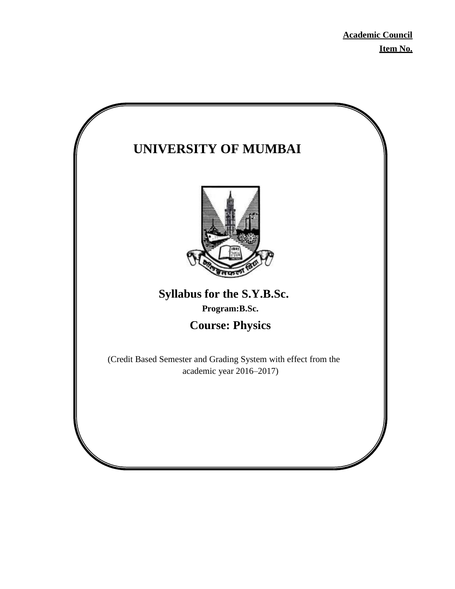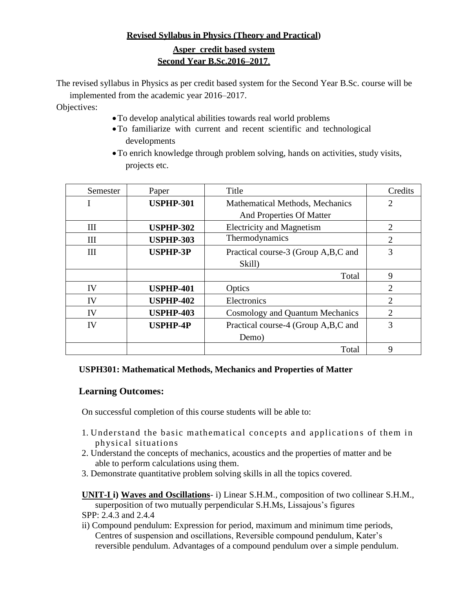# **Revised Syllabus in Physics (Theory and Practical)**

# **Asper credit based system Second Year B.Sc.2016–2017**.

The revised syllabus in Physics as per credit based system for the Second Year B.Sc. course will be implemented from the academic year 2016–2017.

Objectives:

- To develop analytical abilities towards real world problems
- To familiarize with current and recent scientific and technological developments
- To enrich knowledge through problem solving, hands on activities, study visits, projects etc.

| Semester | Paper            | Title                                  | Credits                     |
|----------|------------------|----------------------------------------|-----------------------------|
|          | <b>USPHP-301</b> | <b>Mathematical Methods, Mechanics</b> | $\overline{2}$              |
|          |                  | And Properties Of Matter               |                             |
| Ш        | <b>USPHP-302</b> | <b>Electricity and Magnetism</b>       | $\overline{2}$              |
| Ш        | <b>USPHP-303</b> | Thermodynamics                         | $\mathcal{D}_{\mathcal{L}}$ |
| Ш        | <b>USPHP-3P</b>  | Practical course-3 (Group A,B,C and    | 3                           |
|          |                  | Skill)                                 |                             |
|          |                  | Total                                  | 9                           |
| IV       | <b>USPHP-401</b> | Optics                                 | $\overline{2}$              |
| IV       | <b>USPHP-402</b> | Electronics                            | $\overline{2}$              |
| IV       | <b>USPHP-403</b> | <b>Cosmology and Quantum Mechanics</b> | $\overline{2}$              |
| IV       | <b>USPHP-4P</b>  | Practical course-4 (Group A,B,C and    | 3                           |
|          |                  | Demo)                                  |                             |
|          |                  | Total                                  | 9                           |

## **USPH301: Mathematical Methods, Mechanics and Properties of Matter**

# **Learning Outcomes:**

On successful completion of this course students will be able to:

- 1. Understand the basic mathematical concepts and application s of them in physical situations
- 2. Understand the concepts of mechanics, acoustics and the properties of matter and be able to perform calculations using them.
- 3. Demonstrate quantitative problem solving skills in all the topics covered.

**UNIT-I i) Waves and Oscillations**- i) Linear S.H.M., composition of two collinear S.H.M., superposition of two mutually perpendicular S.H.Ms, Lissajous's figures

- SPP: 2.4.3 and 2.4.4
- ii) Compound pendulum: Expression for period, maximum and minimum time periods, Centres of suspension and oscillations, Reversible compound pendulum, Kater's reversible pendulum. Advantages of a compound pendulum over a simple pendulum.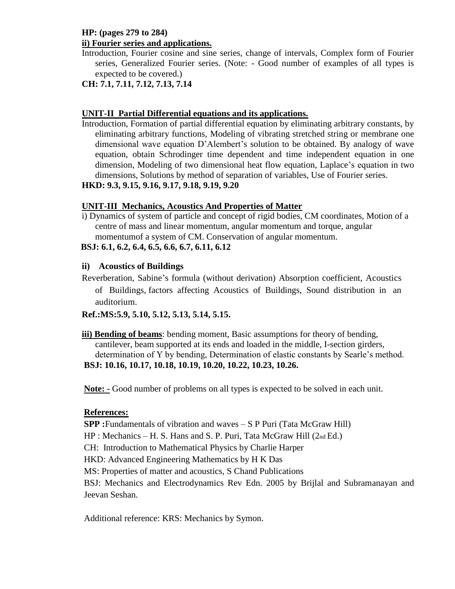## **HP: (pages 279 to 284) ii) Fourier series and applications.**

- Introduction, Fourier cosine and sine series, change of intervals, Complex form of Fourier series, Generalized Fourier series. (Note: - Good number of examples of all types is expected to be covered.)
- **CH: 7.1, 7.11, 7.12, 7.13, 7.14**

# **UNIT-II Partial Differential equations and its applications.**

Introduction, Formation of partial differential equation by eliminating arbitrary constants, by eliminating arbitrary functions, Modeling of vibrating stretched string or membrane one dimensional wave equation D'Alembert's solution to be obtained. By analogy of wave equation, obtain Schrodinger time dependent and time independent equation in one dimension, Modeling of two dimensional heat flow equation, Laplace's equation in two dimensions, Solutions by method of separation of variables, Use of Fourier series.

# **HKD: 9.3, 9.15, 9.16, 9.17, 9.18, 9.19, 9.20**

# **UNIT-III Mechanics, Acoustics And Properties of Matter**

i) Dynamics of system of particle and concept of rigid bodies, CM coordinates, Motion of a centre of mass and linear momentum, angular momentum and torque, angular momentumof a system of CM. Conservation of angular momentum.

# **BSJ: 6.1, 6.2, 6.4, 6.5, 6.6, 6.7, 6.11, 6.12**

# **ii) Acoustics of Buildings**

Reverberation, Sabine's formula (without derivation) Absorption coefficient, Acoustics of Buildings, factors affecting Acoustics of Buildings, Sound distribution in an auditorium.

# **Ref.:MS:5.9, 5.10, 5.12, 5.13, 5.14, 5.15.**

**iii) Bending of beams**: bending moment, Basic assumptions for theory of bending, cantilever, beam supported at its ends and loaded in the middle, I-section girders, determination of Y by bending, Determination of elastic constants by Searle's method. **BSJ: 10.16, 10.17, 10.18, 10.19, 10.20, 10.22, 10.23, 10.26.**

**Note: -** Good number of problems on all types is expected to be solved in each unit.

# **References:**

**SPP** : Fundamentals of vibration and waves – S P Puri (Tata McGraw Hill)

HP : Mechanics – H. S. Hans and S. P. Puri, Tata McGraw Hill (2nd Ed.)

CH: Introduction to Mathematical Physics by Charlie Harper

HKD: Advanced Engineering Mathematics by H K Das

MS: Properties of matter and acoustics, S Chand Publications

BSJ: Mechanics and Electrodynamics Rev Edn. 2005 by Brijlal and Subramanayan and Jeevan Seshan.

Additional reference: KRS: Mechanics by Symon.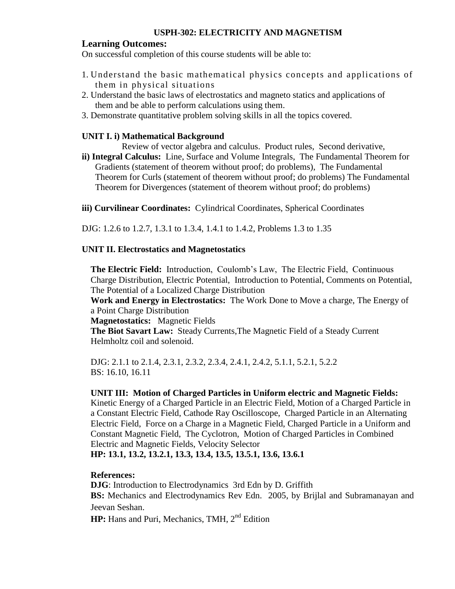## **USPH-302: ELECTRICITY AND MAGNETISM**

#### **Learning Outcomes:**

On successful completion of this course students will be able to:

- 1. Understand the basic mathematical physics concepts and applications of them in physical situations
- 2. Understand the basic laws of electrostatics and magneto statics and applications of them and be able to perform calculations using them.
- 3. Demonstrate quantitative problem solving skills in all the topics covered.

### **UNIT I. i) Mathematical Background**

Review of vector algebra and calculus. Product rules, Second derivative,

**ii) Integral Calculus:** Line, Surface and Volume Integrals, The Fundamental Theorem for Gradients (statement of theorem without proof; do problems), The Fundamental Theorem for Curls (statement of theorem without proof; do problems) The Fundamental Theorem for Divergences (statement of theorem without proof; do problems)

**iii) Curvilinear Coordinates:** Cylindrical Coordinates, Spherical Coordinates

DJG: 1.2.6 to 1.2.7, 1.3.1 to 1.3.4, 1.4.1 to 1.4.2, Problems 1.3 to 1.35

### **UNIT II. Electrostatics and Magnetostatics**

**The Electric Field:** Introduction, Coulomb's Law, The Electric Field, Continuous Charge Distribution, Electric Potential, Introduction to Potential, Comments on Potential, The Potential of a Localized Charge Distribution

**Work and Energy in Electrostatics:** The Work Done to Move a charge, The Energy of a Point Charge Distribution

**Magnetostatics:** Magnetic Fields

**The Biot Savart Law:** Steady Currents,The Magnetic Field of a Steady Current Helmholtz coil and solenoid.

DJG: 2.1.1 to 2.1.4, 2.3.1, 2.3.2, 2.3.4, 2.4.1, 2.4.2, 5.1.1, 5.2.1, 5.2.2 BS: 16.10, 16.11

### **UNIT III: Motion of Charged Particles in Uniform electric and Magnetic Fields:**

Kinetic Energy of a Charged Particle in an Electric Field, Motion of a Charged Particle in a Constant Electric Field, Cathode Ray Oscilloscope, Charged Particle in an Alternating Electric Field, Force on a Charge in a Magnetic Field, Charged Particle in a Uniform and Constant Magnetic Field, The Cyclotron, Motion of Charged Particles in Combined Electric and Magnetic Fields, Velocity Selector

**HP: 13.1, 13.2, 13.2.1, 13.3, 13.4, 13.5, 13.5.1, 13.6, 13.6.1**

### **References:**

**DJG**: Introduction to Electrodynamics 3rd Edn by D. Griffith **BS:** Mechanics and Electrodynamics Rev Edn. 2005, by Brijlal and Subramanayan and Jeevan Seshan.

**HP:** Hans and Puri, Mechanics, TMH, 2<sup>nd</sup> Edition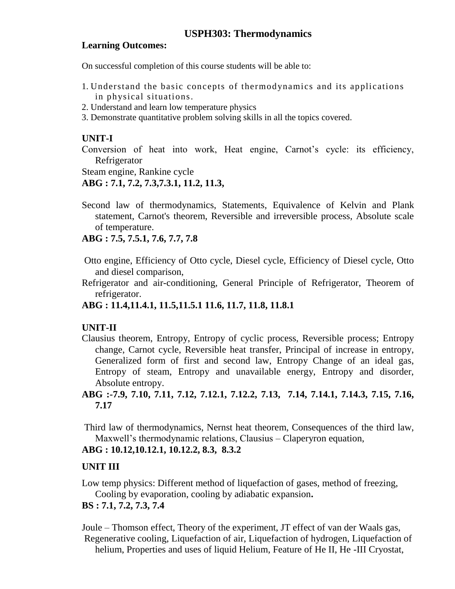# **Learning Outcomes:**

On successful completion of this course students will be able to:

- 1. Understand the basic concepts of thermodynamics and its applications in physical situations.
- 2. Understand and learn low temperature physics
- 3. Demonstrate quantitative problem solving skills in all the topics covered.

# **UNIT-I**

Conversion of heat into work, Heat engine, Carnot's cycle: its efficiency, Refrigerator

Steam engine, Rankine cycle

# **ABG : 7.1, 7.2, 7.3,7.3.1, 11.2, 11.3,**

Second law of thermodynamics, Statements, Equivalence of Kelvin and Plank statement, Carnot's theorem, Reversible and irreversible process, Absolute scale of temperature.

# **ABG : 7.5, 7.5.1, 7.6, 7.7, 7.8**

- Otto engine, Efficiency of Otto cycle, Diesel cycle, Efficiency of Diesel cycle, Otto and diesel comparison,
- Refrigerator and air-conditioning, General Principle of Refrigerator, Theorem of refrigerator.

# **ABG : 11.4,11.4.1, 11.5,11.5.1 11.6, 11.7, 11.8, 11.8.1**

# **UNIT-II**

Clausius theorem, Entropy, Entropy of cyclic process, Reversible process; Entropy change, Carnot cycle, Reversible heat transfer, Principal of increase in entropy, Generalized form of first and second law, Entropy Change of an ideal gas, Entropy of steam, Entropy and unavailable energy, Entropy and disorder, Absolute entropy.

# **ABG :-7.9, 7.10, 7.11, 7.12, 7.12.1, 7.12.2, 7.13, 7.14, 7.14.1, 7.14.3, 7.15, 7.16, 7.17**

Third law of thermodynamics, Nernst heat theorem, Consequences of the third law, Maxwell's thermodynamic relations, Clausius – Claperyron equation,

# **ABG : 10.12,10.12.1, 10.12.2, 8.3, 8.3.2**

# **UNIT III**

Low temp physics: Different method of liquefaction of gases, method of freezing, Cooling by evaporation, cooling by adiabatic expansion**.**

# **BS : 7.1, 7.2, 7.3, 7.4**

Joule – Thomson effect, Theory of the experiment, JT effect of van der Waals gas, Regenerative cooling, Liquefaction of air, Liquefaction of hydrogen, Liquefaction of helium, Properties and uses of liquid Helium, Feature of He II, He -III Cryostat,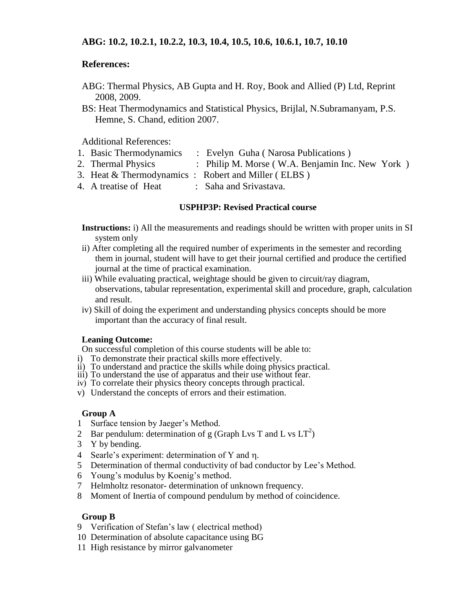## **ABG: 10.2, 10.2.1, 10.2.2, 10.3, 10.4, 10.5, 10.6, 10.6.1, 10.7, 10.10**

## **References:**

- ABG: Thermal Physics, AB Gupta and H. Roy, Book and Allied (P) Ltd, Reprint 2008, 2009.
- BS: Heat Thermodynamics and Statistical Physics, Brijlal, N.Subramanyam, P.S. Hemne, S. Chand, edition 2007.

Additional References:

- 1. Basic Thermodynamics : Evelyn Guha ( Narosa Publications )
- 2. Thermal Physics : Philip M. Morse (W.A. Benjamin Inc. New York)
- 3. Heat & Thermodynamics : Robert and Miller ( ELBS )
- 4. A treatise of Heat : Saha and Srivastava.

## **USPHP3P: Revised Practical course**

- **Instructions:** i) All the measurements and readings should be written with proper units in SI system only
- ii) After completing all the required number of experiments in the semester and recording them in journal, student will have to get their journal certified and produce the certified journal at the time of practical examination.
- iii) While evaluating practical, weightage should be given to circuit/ray diagram, observations, tabular representation, experimental skill and procedure, graph, calculation and result.
- iv) Skill of doing the experiment and understanding physics concepts should be more important than the accuracy of final result.

### **Leaning Outcome:**

On successful completion of this course students will be able to:

- i) To demonstrate their practical skills more effectively.
- ii) To understand and practice the skills while doing physics practical.
- iii) To understand the use of apparatus and their use without fear.
- iv) To correlate their physics theory concepts through practical.
- v) Understand the concepts of errors and their estimation.

### **Group A**

- 1 Surface tension by Jaeger's Method.
- 2 Bar pendulum: determination of g (Graph Lvs T and L vs  $LT^2$ )
- 3 Y by bending.
- 4 Searle's experiment: determination of Y and n.
- 5 Determination of thermal conductivity of bad conductor by Lee's Method.
- 6 Young's modulus by Koenig's method.
- 7 Helmholtz resonator- determination of unknown frequency.
- 8 Moment of Inertia of compound pendulum by method of coincidence.

### **Group B**

- 9 Verification of Stefan's law ( electrical method)
- 10 Determination of absolute capacitance using BG
- 11 High resistance by mirror galvanometer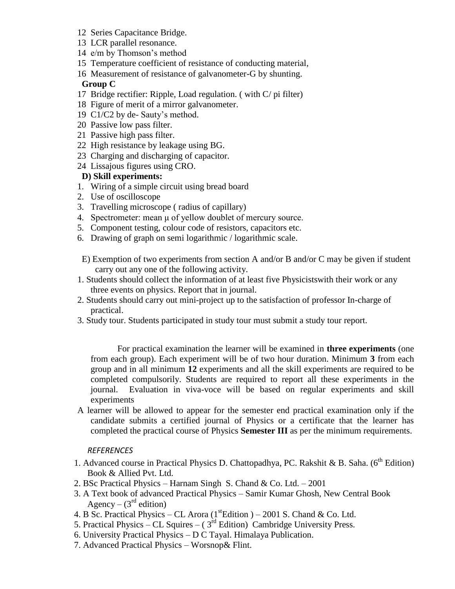- 12 Series Capacitance Bridge.
- 13 LCR parallel resonance.
- 14 e/m by Thomson's method
- 15 Temperature coefficient of resistance of conducting material,
- 16 Measurement of resistance of galvanometer-G by shunting. **Group C**
- 17 Bridge rectifier: Ripple, Load regulation. ( with C/ pi filter)
- 18 Figure of merit of a mirror galvanometer.
- 19 C1/C2 by de- Sauty's method.
- 20 Passive low pass filter.
- 21 Passive high pass filter.
- 22 High resistance by leakage using BG.
- 23 Charging and discharging of capacitor.
- 24 Lissajous figures using CRO.

# **D) Skill experiments:**

- 1. Wiring of a simple circuit using bread board
- 2. Use of oscilloscope
- 3. Travelling microscope ( radius of capillary)
- 4. Spectrometer: mean μ of yellow doublet of mercury source.
- 5. Component testing, colour code of resistors, capacitors etc.
- 6. Drawing of graph on semi logarithmic / logarithmic scale.
- E) Exemption of two experiments from section A and/or B and/or C may be given if student carry out any one of the following activity.
- 1. Students should collect the information of at least five Physicistswith their work or any three events on physics. Report that in journal.
- 2. Students should carry out mini-project up to the satisfaction of professor In-charge of practical.
- 3. Study tour. Students participated in study tour must submit a study tour report.

For practical examination the learner will be examined in **three experiments** (one from each group). Each experiment will be of two hour duration. Minimum **3** from each group and in all minimum **12** experiments and all the skill experiments are required to be completed compulsorily. Students are required to report all these experiments in the journal. Evaluation in viva-voce will be based on regular experiments and skill experiments

A learner will be allowed to appear for the semester end practical examination only if the candidate submits a certified journal of Physics or a certificate that the learner has completed the practical course of Physics **Semester III** as per the minimum requirements.

## *REFERENCES*

- 1. Advanced course in Practical Physics D. Chattopadhya, PC. Rakshit & B. Saha. (6<sup>th</sup> Edition) Book & Allied Pvt. Ltd.
- 2. BSc Practical Physics Harnam Singh S. Chand & Co. Ltd. 2001
- 3. A Text book of advanced Practical Physics Samir Kumar Ghosh, New Central Book Agency –  $(3<sup>rd</sup>$  edition)
- 4. B Sc. Practical Physics CL Arora ( $1<sup>st</sup>$ Edition ) 2001 S. Chand & Co. Ltd.
- 5. Practical Physics CL Squires  $(3<sup>rd</sup> Edition)$  Cambridge University Press.
- 6. University Practical Physics D C Tayal. Himalaya Publication.
- 7. Advanced Practical Physics Worsnop& Flint.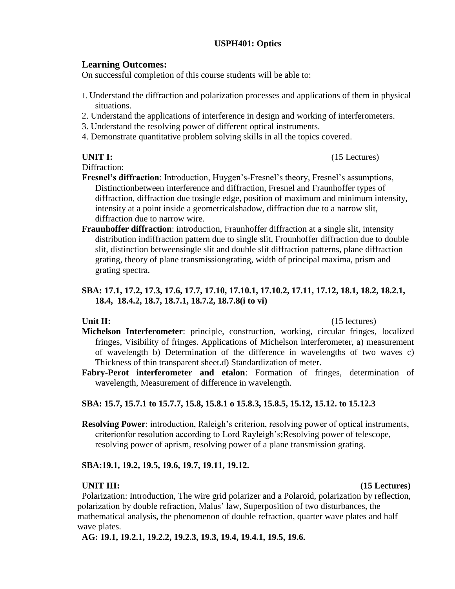## **USPH401: Optics**

## **Learning Outcomes:**

On successful completion of this course students will be able to:

- 1. Understand the diffraction and polarization processes and applications of them in physical situations.
- 2. Understand the applications of interference in design and working of interferometers.
- 3. Understand the resolving power of different optical instruments.
- 4. Demonstrate quantitative problem solving skills in all the topics covered.

Diffraction:

- **Fresnel's diffraction**: Introduction, Huygen's-Fresnel's theory, Fresnel's assumptions, Distinctionbetween interference and diffraction, Fresnel and Fraunhoffer types of diffraction, diffraction due tosingle edge, position of maximum and minimum intensity, intensity at a point inside a geometricalshadow, diffraction due to a narrow slit, diffraction due to narrow wire.
- **Fraunhoffer diffraction**: introduction, Fraunhoffer diffraction at a single slit, intensity distribution indiffraction pattern due to single slit, Frounhoffer diffraction due to double slit, distinction betweensingle slit and double slit diffraction patterns, plane diffraction grating, theory of plane transmissiongrating, width of principal maxima, prism and grating spectra.

## **SBA: 17.1, 17.2, 17.3, 17.6, 17.7, 17.10, 17.10.1, 17.10.2, 17.11, 17.12, 18.1, 18.2, 18.2.1, 18.4, 18.4.2, 18.7, 18.7.1, 18.7.2, 18.7.8(i to vi)**

Unit II: (15 lectures)

- **Michelson Interferometer**: principle, construction, working, circular fringes, localized fringes, Visibility of fringes. Applications of Michelson interferometer, a) measurement of wavelength b) Determination of the difference in wavelengths of two waves c) Thickness of thin transparent sheet.d) Standardization of meter.
- **Fabry-Perot interferometer and etalon**: Formation of fringes, determination of wavelength, Measurement of difference in wavelength.

## **SBA: 15.7, 15.7.1 to 15.7.7, 15.8, 15.8.1 o 15.8.3, 15.8.5, 15.12, 15.12. to 15.12.3**

**Resolving Power**: introduction, Raleigh's criterion, resolving power of optical instruments, criterionfor resolution according to Lord Rayleigh's;Resolving power of telescope, resolving power of aprism, resolving power of a plane transmission grating.

### **SBA:19.1, 19.2, 19.5, 19.6, 19.7, 19.11, 19.12.**

#### **UNIT III: (15 Lectures)**

Polarization: Introduction, The wire grid polarizer and a Polaroid, polarization by reflection, polarization by double refraction, Malus' law, Superposition of two disturbances, the mathematical analysis, the phenomenon of double refraction, quarter wave plates and half wave plates.

**AG: 19.1, 19.2.1, 19.2.2, 19.2.3, 19.3, 19.4, 19.4.1, 19.5, 19.6.**

**UNIT I:** (15 Lectures)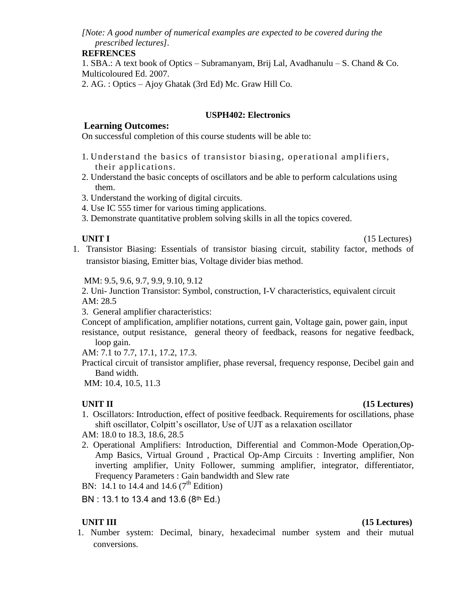*[Note: A good number of numerical examples are expected to be covered during the prescribed lectures].*

## **REFRENCES**

1. SBA.: A text book of Optics – Subramanyam, Brij Lal, Avadhanulu – S. Chand & Co. Multicoloured Ed. 2007.

2. AG. : Optics – Ajoy Ghatak (3rd Ed) Mc. Graw Hill Co.

## **USPH402: Electronics**

## **Learning Outcomes:**

On successful completion of this course students will be able to:

- 1. Understand the basics of transistor biasing, operational amplifiers, their applications.
- 2. Understand the basic concepts of oscillators and be able to perform calculations using them.
- 3. Understand the working of digital circuits.
- 4. Use IC 555 timer for various timing applications.
- 3. Demonstrate quantitative problem solving skills in all the topics covered.

### **UNIT I** (15 Lectures)

1. Transistor Biasing: Essentials of transistor biasing circuit, stability factor, methods of transistor biasing, Emitter bias, Voltage divider bias method.

MM: 9.5, 9.6, 9.7, 9.9, 9.10, 9.12

2. Uni- Junction Transistor: Symbol, construction, I-V characteristics, equivalent circuit AM: 28.5

3. General amplifier characteristics:

Concept of amplification, amplifier notations, current gain, Voltage gain, power gain, input resistance, output resistance, general theory of feedback, reasons for negative feedback, loop gain.

AM: 7.1 to 7.7, 17.1, 17.2, 17.3.

Practical circuit of transistor amplifier, phase reversal, frequency response, Decibel gain and Band width.

MM: 10.4, 10.5, 11.3

### **UNIT II** (15 Lectures)

1. Oscillators: Introduction, effect of positive feedback. Requirements for oscillations, phase shift oscillator, Colpitt's oscillator, Use of UJT as a relaxation oscillator

AM: 18.0 to 18.3, 18.6, 28.5

2. Operational Amplifiers: Introduction, Differential and Common-Mode Operation,Op-Amp Basics, Virtual Ground , Practical Op-Amp Circuits : Inverting amplifier, Non inverting amplifier, Unity Follower, summing amplifier, integrator, differentiator, Frequency Parameters : Gain bandwidth and Slew rate

BN: 14.1 to 14.4 and 14.6  $(7^{th}$  Edition)

BN : 13.1 to 13.4 and 13.6 (8th Ed.)

1. Number system: Decimal, binary, hexadecimal number system and their mutual conversions.

### **UNIT III** (15 Lectures)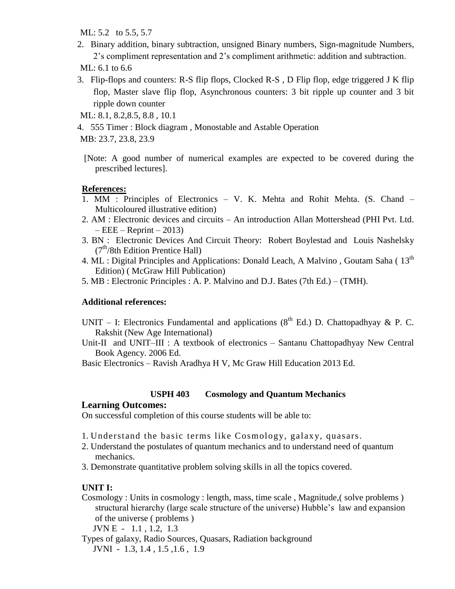ML: 5.2 to 5.5, 5.7

2. Binary addition, binary subtraction, unsigned Binary numbers, Sign-magnitude Numbers, 2's compliment representation and 2's compliment arithmetic: addition and subtraction.

ML: 6.1 to 6.6

- 3. Flip-flops and counters: R-S flip flops, Clocked R-S , D Flip flop, edge triggered J K flip flop, Master slave flip flop, Asynchronous counters: 3 bit ripple up counter and 3 bit ripple down counter
- ML: 8.1, 8.2,8.5, 8.8 , 10.1
- 4. 555 Timer : Block diagram , Monostable and Astable Operation

MB: 23.7, 23.8, 23.9

[Note: A good number of numerical examples are expected to be covered during the prescribed lectures].

### **References:**

- 1. MM : Principles of Electronics V. K. Mehta and Rohit Mehta. (S. Chand Multicoloured illustrative edition)
- 2. AM : Electronic devices and circuits An introduction Allan Mottershead (PHI Pvt. Ltd.  $-EEE - Reprint - 2013$
- 3. BN : Electronic Devices And Circuit Theory: Robert Boylestad and Louis Nashelsky (7<sup>th</sup>/8th Edition Prentice Hall)
- 4. ML : Digital Principles and Applications: Donald Leach, A Malvino, Goutam Saha ( $13<sup>th</sup>$ Edition) ( McGraw Hill Publication)
- 5. MB : Electronic Principles : A. P. Malvino and D.J. Bates (7th Ed.) (TMH).

### **Additional references:**

- UNIT I: Electronics Fundamental and applications ( $8<sup>th</sup>$  Ed.) D. Chattopadhyay & P. C. Rakshit (New Age International)
- Unit-II and UNIT–III : A textbook of electronics Santanu Chattopadhyay New Central Book Agency. 2006 Ed.

Basic Electronics – Ravish Aradhya H V, Mc Graw Hill Education 2013 Ed.

### **USPH 403 Cosmology and Quantum Mechanics**

#### **Learning Outcomes:**

On successful completion of this course students will be able to:

- 1. Understand the basic terms like Cosmology, galax y, quasars.
- 2. Understand the postulates of quantum mechanics and to understand need of quantum mechanics.
- 3. Demonstrate quantitative problem solving skills in all the topics covered.

## **UNIT I:**

Cosmology : Units in cosmology : length, mass, time scale , Magnitude,( solve problems ) structural hierarchy (large scale structure of the universe) Hubble's law and expansion of the universe ( problems )

JVN E - 1.1 , 1.2, 1.3

Types of galaxy, Radio Sources, Quasars, Radiation background JVNI - 1.3, 1.4 , 1.5 ,1.6 , 1.9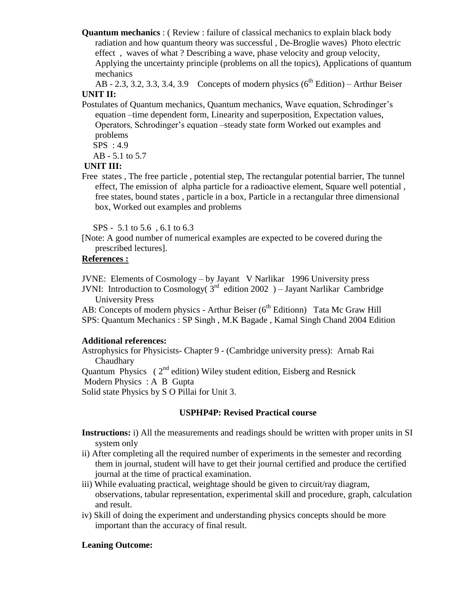**Quantum mechanics** : ( Review : failure of classical mechanics to explain black body radiation and how quantum theory was successful , De-Broglie waves) Photo electric effect , waves of what ? Describing a wave, phase velocity and group velocity, Applying the uncertainty principle (problems on all the topics), Applications of quantum mechanics

AB - 2.3, 3.2, 3.3, 3.4, 3.9 Concepts of modern physics  $(6<sup>th</sup> Edition)$  – Arthur Beiser **UNIT II:** 

Postulates of Quantum mechanics, Quantum mechanics, Wave equation, Schrodinger's equation –time dependent form, Linearity and superposition, Expectation values, Operators, Schrodinger's equation –steady state form Worked out examples and problems

SPS : 4.9

AB - 5.1 to 5.7

## **UNIT III:**

Free states , The free particle , potential step, The rectangular potential barrier, The tunnel effect, The emission of alpha particle for a radioactive element, Square well potential , free states, bound states , particle in a box, Particle in a rectangular three dimensional box, Worked out examples and problems

SPS - 5.1 to 5.6 , 6.1 to 6.3

[Note: A good number of numerical examples are expected to be covered during the prescribed lectures].

## **References :**

JVNE: Elements of Cosmology – by Jayant V Narlikar 1996 University press

JVNI: Introduction to Cosmology( $3^{rd}$  edition 2002) – Jayant Narlikar Cambridge University Press

AB: Concepts of modern physics - Arthur Beiser ( $6<sup>th</sup>$  Editionn) Tata Mc Graw Hill SPS: Quantum Mechanics : SP Singh , M.K Bagade , Kamal Singh Chand 2004 Edition

### **Additional references:**

Astrophysics for Physicists- Chapter 9 - (Cambridge university press): Arnab Rai **Chaudhary** Quantum Physics ( $2<sup>nd</sup>$  edition) Wiley student edition, Eisberg and Resnick Modern Physics : A B Gupta

Solid state Physics by S O Pillai for Unit 3.

## **USPHP4P: Revised Practical course**

**Instructions:** i) All the measurements and readings should be written with proper units in SI system only

- ii) After completing all the required number of experiments in the semester and recording them in journal, student will have to get their journal certified and produce the certified journal at the time of practical examination.
- iii) While evaluating practical, weightage should be given to circuit/ray diagram, observations, tabular representation, experimental skill and procedure, graph, calculation and result.
- iv) Skill of doing the experiment and understanding physics concepts should be more important than the accuracy of final result.

## **Leaning Outcome:**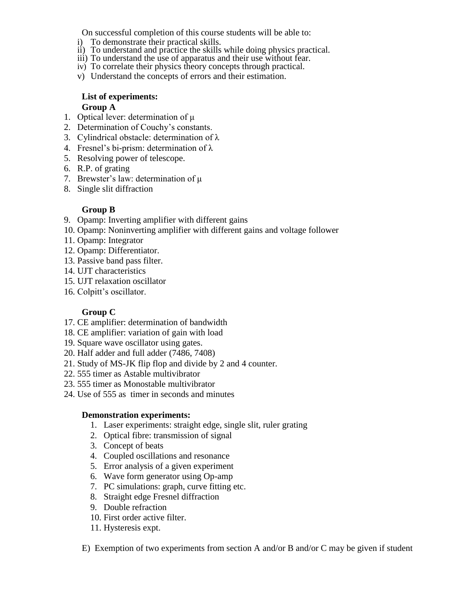On successful completion of this course students will be able to:

- i) To demonstrate their practical skills.
- ii) To understand and practice the skills while doing physics practical.
- iii) To understand the use of apparatus and their use without fear.
- iv) To correlate their physics theory concepts through practical.
- v) Understand the concepts of errors and their estimation.

### **List of experiments: Group A**

- 1. Optical lever: determination of μ
- 2. Determination of Couchy's constants.
- 3. Cylindrical obstacle: determination of λ
- 4. Fresnel's bi-prism: determination of λ
- 5. Resolving power of telescope.
- 6. R.P. of grating
- 7. Brewster's law: determination of μ
- 8. Single slit diffraction

## **Group B**

- 9. Opamp: Inverting amplifier with different gains
- 10. Opamp: Noninverting amplifier with different gains and voltage follower
- 11. Opamp: Integrator
- 12. Opamp: Differentiator.
- 13. Passive band pass filter.
- 14. UJT characteristics
- 15. UJT relaxation oscillator
- 16. Colpitt's oscillator.

# **Group C**

- 17. CE amplifier: determination of bandwidth
- 18. CE amplifier: variation of gain with load
- 19. Square wave oscillator using gates.
- 20. Half adder and full adder (7486, 7408)
- 21. Study of MS-JK flip flop and divide by 2 and 4 counter.
- 22. 555 timer as Astable multivibrator
- 23. 555 timer as Monostable multivibrator
- 24. Use of 555 as timer in seconds and minutes

### **Demonstration experiments:**

- 1. Laser experiments: straight edge, single slit, ruler grating
- 2. Optical fibre: transmission of signal
- 3. Concept of beats
- 4. Coupled oscillations and resonance
- 5. Error analysis of a given experiment
- 6. Wave form generator using Op-amp
- 7. PC simulations: graph, curve fitting etc.
- 8. Straight edge Fresnel diffraction
- 9. Double refraction
- 10. First order active filter.
- 11. Hysteresis expt.
- E) Exemption of two experiments from section A and/or B and/or C may be given if student